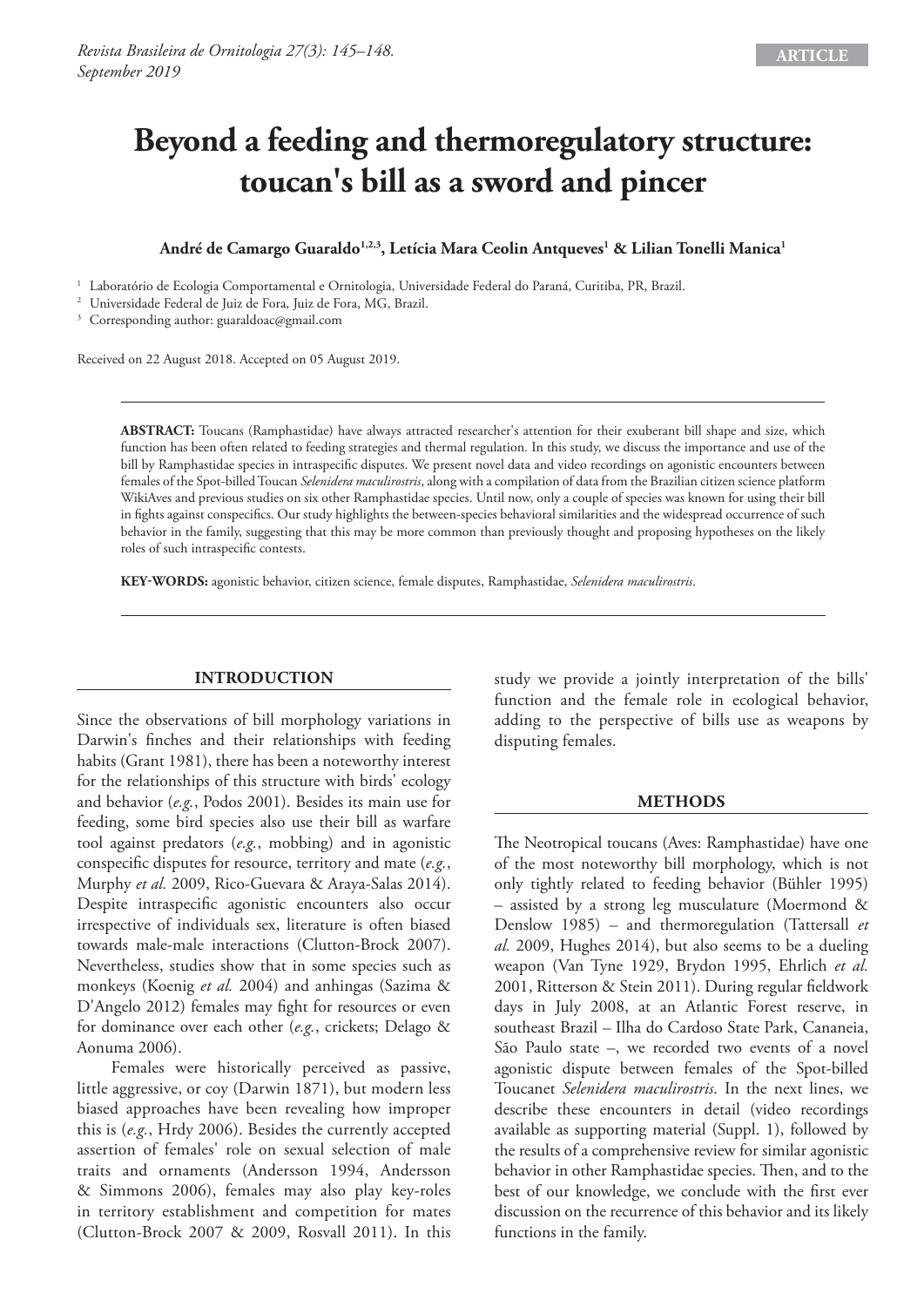# **Beyond a feeding and thermoregulatory structure: toucan's bill as a sword and pincer**

## André de Camargo Guaraldo<sup>1,2,3</sup>, Letícia Mara Ceolin Antqueves<sup>1</sup> & Lilian Tonelli Manica<sup>1</sup>

<sup>1</sup> Laboratório de Ecologia Comportamental e Ornitologia, Universidade Federal do Paraná, Curitiba, PR, Brazil. 2 Universidade Federal de Juiz de Fora, Juiz de Fora, MG, Brazil.

<sup>3</sup> Corresponding author: guaraldoac@gmail.com

Received on 22 August 2018. Accepted on 05 August 2019.

**ABSTRACT:** Toucans (Ramphastidae) have always attracted researcher's attention for their exuberant bill shape and size, which function has been often related to feeding strategies and thermal regulation. In this study, we discuss the importance and use of the bill by Ramphastidae species in intraspecific disputes. We present novel data and video recordings on agonistic encounters between females of the Spot-billed Toucan *Selenidera maculirostris*, along with a compilation of data from the Brazilian citizen science platform WikiAves and previous studies on six other Ramphastidae species. Until now, only a couple of species was known for using their bill in fights against conspecifics. Our study highlights the between-species behavioral similarities and the widespread occurrence of such behavior in the family, suggesting that this may be more common than previously thought and proposing hypotheses on the likely roles of such intraspecific contests.

**KEY-WORDS:** agonistic behavior, citizen science, female disputes, Ramphastidae, *Selenidera maculirostris*.

## **INTRODUCTION**

Since the observations of bill morphology variations in Darwin's finches and their relationships with feeding habits (Grant 1981), there has been a noteworthy interest for the relationships of this structure with birds' ecology and behavior (*e.g.*, Podos 2001). Besides its main use for feeding, some bird species also use their bill as warfare tool against predators (*e.g.*, mobbing) and in agonistic conspecific disputes for resource, territory and mate (*e.g.*, Murphy *et al.* 2009, Rico-Guevara & Araya-Salas 2014). Despite intraspecific agonistic encounters also occur irrespective of individuals sex, literature is often biased towards male-male interactions (Clutton-Brock 2007). Nevertheless, studies show that in some species such as monkeys (Koenig *et al.* 2004) and anhingas (Sazima & D'Angelo 2012) females may fight for resources or even for dominance over each other (*e.g.*, crickets; Delago & Aonuma 2006).

Females were historically perceived as passive, little aggressive, or coy (Darwin 1871), but modern less biased approaches have been revealing how improper this is (*e.g.*, Hrdy 2006). Besides the currently accepted assertion of females' role on sexual selection of male traits and ornaments (Andersson 1994, Andersson & Simmons 2006), females may also play key-roles in territory establishment and competition for mates (Clutton-Brock 2007 & 2009, Rosvall 2011). In this

study we provide a jointly interpretation of the bills' function and the female role in ecological behavior, adding to the perspective of bills use as weapons by disputing females.

#### **METHODS**

The Neotropical toucans (Aves: Ramphastidae) have one of the most noteworthy bill morphology, which is not only tightly related to feeding behavior (Bühler 1995) – assisted by a strong leg musculature (Moermond & Denslow 1985) – and thermoregulation (Tattersall *et al.* 2009, Hughes 2014), but also seems to be a dueling weapon (Van Tyne 1929, Brydon 1995, Ehrlich *et al.* 2001, Ritterson & Stein 2011). During regular fieldwork days in July 2008, at an Atlantic Forest reserve, in southeast Brazil – Ilha do Cardoso State Park, Cananeia, São Paulo state –, we recorded two events of a novel agonistic dispute between females of the Spot-billed Toucanet *Selenidera maculirostris*. In the next lines, we describe these encounters in detail (video recordings available as supporting material (Suppl. 1), followed by the results of a comprehensive review for similar agonistic behavior in other Ramphastidae species. Then, and to the best of our knowledge, we conclude with the first ever discussion on the recurrence of this behavior and its likely functions in the family.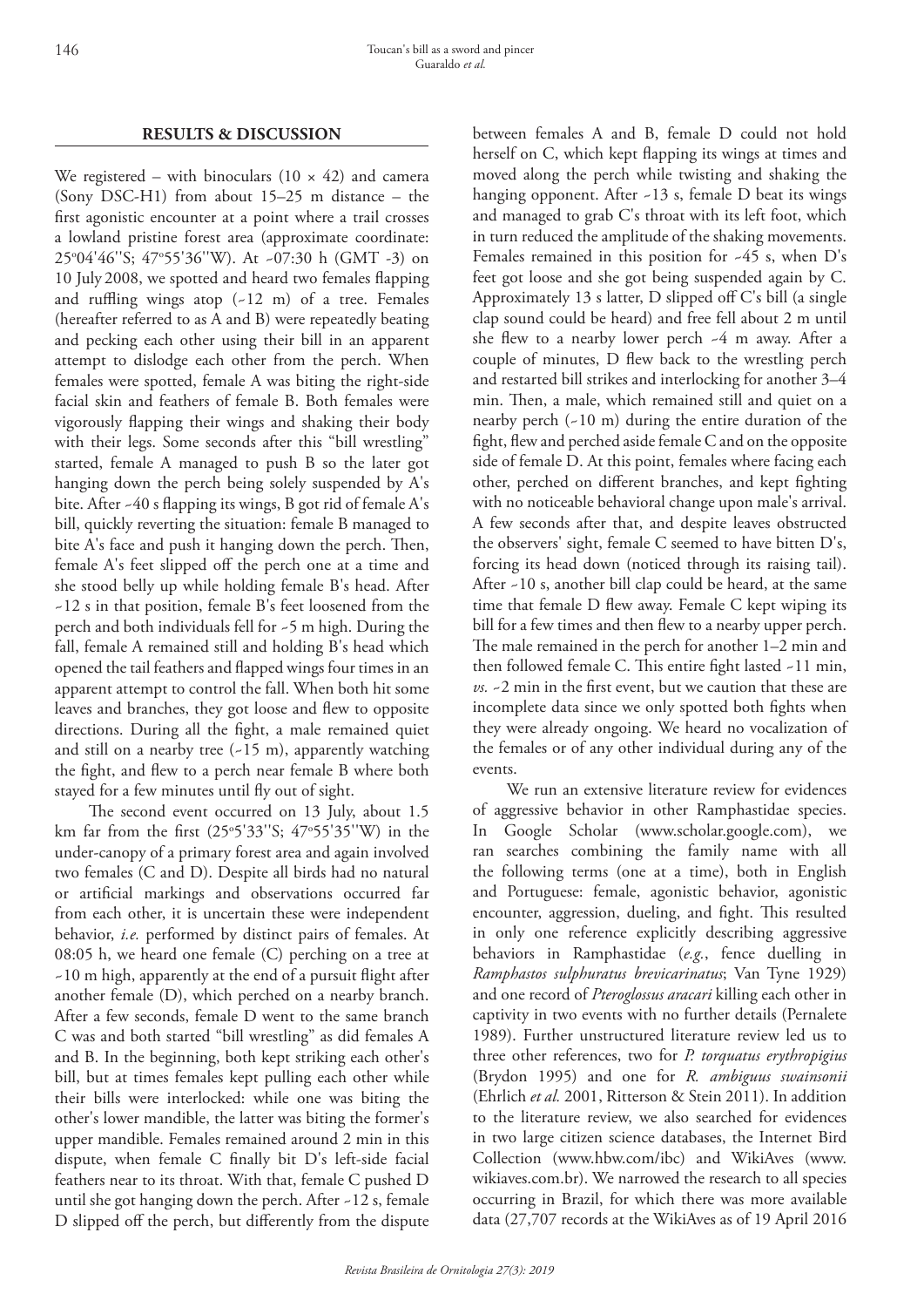# **RESULTS & DISCUSSION**

We registered – with binoculars  $(10 \times 42)$  and camera (Sony DSC-H1) from about 15–25 m distance – the first agonistic encounter at a point where a trail crosses a lowland pristine forest area (approximate coordinate: 25o 04'46''S; 47o 55'36''W). At ~07:30 h (GMT -3) on 10 July 2008, we spotted and heard two females flapping and ruffling wings atop  $(-12 \text{ m})$  of a tree. Females (hereafter referred to as A and B) were repeatedly beating and pecking each other using their bill in an apparent attempt to dislodge each other from the perch. When females were spotted, female A was biting the right-side facial skin and feathers of female B. Both females were vigorously flapping their wings and shaking their body with their legs. Some seconds after this "bill wrestling" started, female A managed to push B so the later got hanging down the perch being solely suspended by A's bite. After ~40 s flapping its wings, B got rid of female A's bill, quickly reverting the situation: female B managed to bite A's face and push it hanging down the perch. Then, female A's feet slipped off the perch one at a time and she stood belly up while holding female B's head. After ~12 s in that position, female B's feet loosened from the perch and both individuals fell for ~5 m high. During the fall, female A remained still and holding B's head which opened the tail feathers and flapped wings four times in an apparent attempt to control the fall. When both hit some leaves and branches, they got loose and flew to opposite directions. During all the fight, a male remained quiet and still on a nearby tree  $(-15 \text{ m})$ , apparently watching the fight, and flew to a perch near female B where both stayed for a few minutes until fly out of sight.

The second event occurred on 13 July, about 1.5 km far from the first (25o 5'33''S; 47o 55'35''W) in the under-canopy of a primary forest area and again involved two females (C and D). Despite all birds had no natural or artificial markings and observations occurred far from each other, it is uncertain these were independent behavior, *i.e.* performed by distinct pairs of females. At 08:05 h, we heard one female (C) perching on a tree at ~10 m high, apparently at the end of a pursuit flight after another female (D), which perched on a nearby branch. After a few seconds, female D went to the same branch C was and both started "bill wrestling" as did females A and B. In the beginning, both kept striking each other's bill, but at times females kept pulling each other while their bills were interlocked: while one was biting the other's lower mandible, the latter was biting the former's upper mandible. Females remained around 2 min in this dispute, when female C finally bit D's left-side facial feathers near to its throat. With that, female C pushed D until she got hanging down the perch. After ~12 s, female D slipped off the perch, but differently from the dispute

between females A and B, female D could not hold herself on C, which kept flapping its wings at times and moved along the perch while twisting and shaking the hanging opponent. After -13 s, female D beat its wings and managed to grab C's throat with its left foot, which in turn reduced the amplitude of the shaking movements. Females remained in this position for ~45 s, when D's feet got loose and she got being suspended again by C. Approximately 13 s latter, D slipped off C's bill (a single clap sound could be heard) and free fell about 2 m until she flew to a nearby lower perch ~4 m away. After a couple of minutes, D flew back to the wrestling perch and restarted bill strikes and interlocking for another 3–4 min. Then, a male, which remained still and quiet on a nearby perch (~10 m) during the entire duration of the fight, flew and perched aside female C and on the opposite side of female D. At this point, females where facing each other, perched on different branches, and kept fighting with no noticeable behavioral change upon male's arrival. A few seconds after that, and despite leaves obstructed the observers' sight, female C seemed to have bitten D's, forcing its head down (noticed through its raising tail). After ~10 s, another bill clap could be heard, at the same time that female D flew away. Female C kept wiping its bill for a few times and then flew to a nearby upper perch. The male remained in the perch for another 1–2 min and then followed female C. This entire fight lasted ~11 min, *vs.* ~2 min in the first event, but we caution that these are incomplete data since we only spotted both fights when they were already ongoing. We heard no vocalization of the females or of any other individual during any of the events.

We run an extensive literature review for evidences of aggressive behavior in other Ramphastidae species. In Google Scholar (www.scholar.google.com), we ran searches combining the family name with all the following terms (one at a time), both in English and Portuguese: female, agonistic behavior, agonistic encounter, aggression, dueling, and fight. This resulted in only one reference explicitly describing aggressive behaviors in Ramphastidae (*e.g.*, fence duelling in *Ramphastos sulphuratus brevicarinatus*; Van Tyne 1929) and one record of *Pteroglossus aracari* killing each other in captivity in two events with no further details (Pernalete 1989). Further unstructured literature review led us to three other references, two for *P. torquatus erythropigius* (Brydon 1995) and one for *R. ambiguus swainsonii*  (Ehrlich *et al.* 2001, Ritterson & Stein 2011). In addition to the literature review, we also searched for evidences in two large citizen science databases, the Internet Bird Collection (www.hbw.com/ibc) and WikiAves (www. wikiaves.com.br). We narrowed the research to all species occurring in Brazil, for which there was more available data (27,707 records at the WikiAves as of 19 April 2016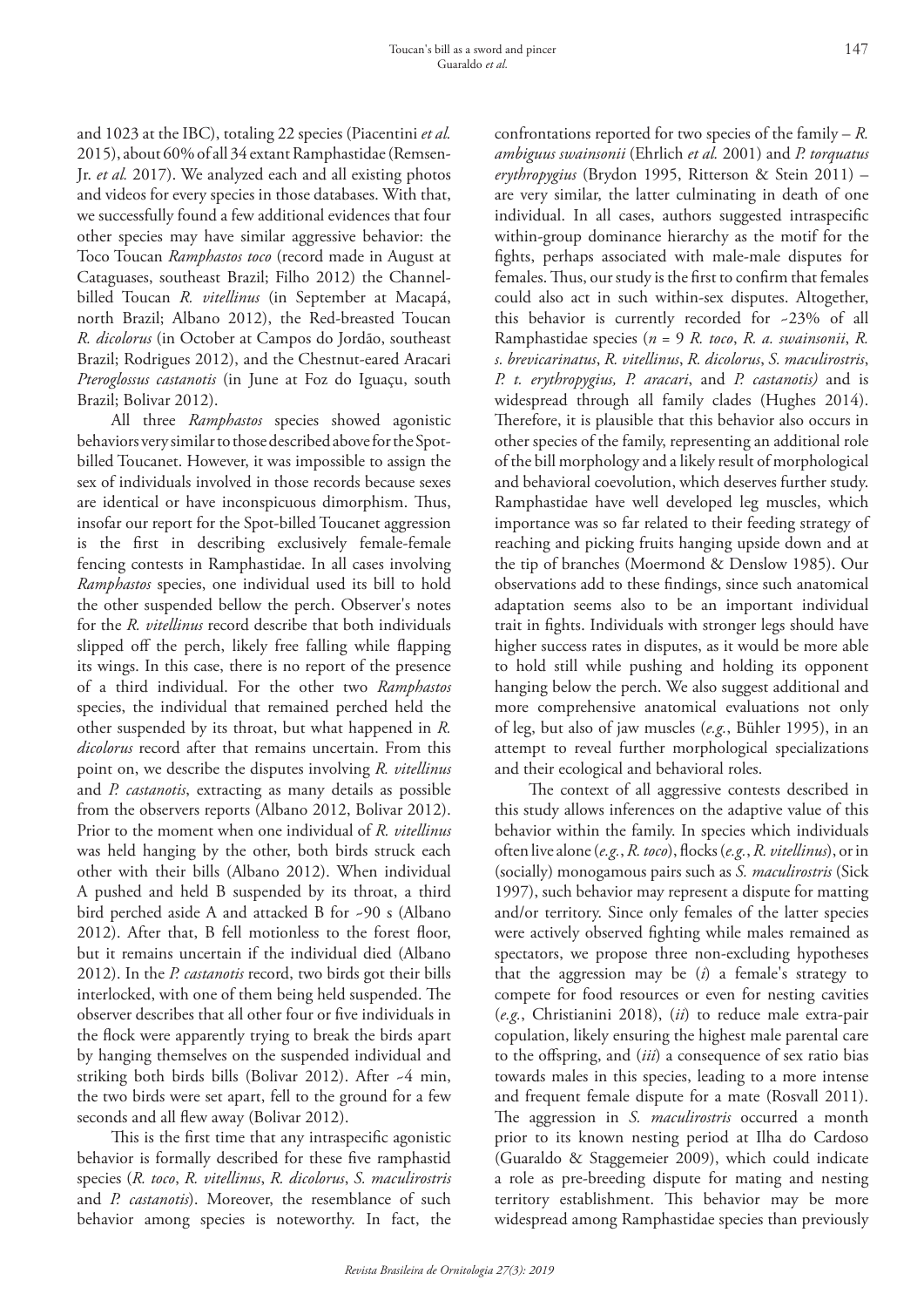and 1023 at the IBC), totaling 22 species (Piacentini *et al.* 2015), about 60% of all 34 extant Ramphastidae (Remsen-Jr. *et al.* 2017). We analyzed each and all existing photos and videos for every species in those databases. With that, we successfully found a few additional evidences that four other species may have similar aggressive behavior: the Toco Toucan *Ramphastos toco* (record made in August at Cataguases, southeast Brazil; Filho 2012) the Channelbilled Toucan *R. vitellinus* (in September at Macapá, north Brazil; Albano 2012), the Red-breasted Toucan *R. dicolorus* (in October at Campos do Jordão, southeast Brazil; Rodrigues 2012), and the Chestnut-eared Aracari *Pteroglossus castanotis* (in June at Foz do Iguaçu, south Brazil; Bolivar 2012).

All three *Ramphastos* species showed agonistic behaviors very similar to those described above for the Spotbilled Toucanet. However, it was impossible to assign the sex of individuals involved in those records because sexes are identical or have inconspicuous dimorphism. Thus, insofar our report for the Spot-billed Toucanet aggression is the first in describing exclusively female-female fencing contests in Ramphastidae. In all cases involving *Ramphastos* species, one individual used its bill to hold the other suspended bellow the perch. Observer's notes for the *R. vitellinus* record describe that both individuals slipped off the perch, likely free falling while flapping its wings. In this case, there is no report of the presence of a third individual. For the other two *Ramphastos* species, the individual that remained perched held the other suspended by its throat, but what happened in *R. dicolorus* record after that remains uncertain. From this point on, we describe the disputes involving *R. vitellinus*  and *P. castanotis*, extracting as many details as possible from the observers reports (Albano 2012, Bolivar 2012). Prior to the moment when one individual of *R. vitellinus*  was held hanging by the other, both birds struck each other with their bills (Albano 2012). When individual A pushed and held B suspended by its throat, a third bird perched aside A and attacked B for ~90 s (Albano 2012). After that, B fell motionless to the forest floor, but it remains uncertain if the individual died (Albano 2012). In the *P. castanotis* record, two birds got their bills interlocked, with one of them being held suspended. The observer describes that all other four or five individuals in the flock were apparently trying to break the birds apart by hanging themselves on the suspended individual and striking both birds bills (Bolivar 2012). After -4 min, the two birds were set apart, fell to the ground for a few seconds and all flew away (Bolivar 2012).

This is the first time that any intraspecific agonistic behavior is formally described for these five ramphastid species (*R. toco*, *R. vitellinus*, *R. dicolorus*, *S. maculirostris* and *P. castanotis*). Moreover, the resemblance of such behavior among species is noteworthy. In fact, the

confrontations reported for two species of the family – *R. ambiguus swainsonii* (Ehrlich *et al.* 2001) and *P. torquatus erythropygius* (Brydon 1995, Ritterson & Stein 2011) – are very similar, the latter culminating in death of one individual. In all cases, authors suggested intraspecific within-group dominance hierarchy as the motif for the fights, perhaps associated with male-male disputes for females. Thus, our study is the first to confirm that females could also act in such within-sex disputes. Altogether, this behavior is currently recorded for ~23% of all Ramphastidae species (*n* = 9 *R. toco*, *R. a. swainsonii*, *R. s. brevicarinatus*, *R. vitellinus*, *R. dicolorus*, *S. maculirostris*, *P. t. erythropygius, P. aracari*, and *P. castanotis)* and is widespread through all family clades (Hughes 2014). Therefore, it is plausible that this behavior also occurs in other species of the family, representing an additional role of the bill morphology and a likely result of morphological and behavioral coevolution, which deserves further study. Ramphastidae have well developed leg muscles, which importance was so far related to their feeding strategy of reaching and picking fruits hanging upside down and at the tip of branches (Moermond & Denslow 1985). Our observations add to these findings, since such anatomical adaptation seems also to be an important individual trait in fights. Individuals with stronger legs should have higher success rates in disputes, as it would be more able to hold still while pushing and holding its opponent hanging below the perch. We also suggest additional and more comprehensive anatomical evaluations not only of leg, but also of jaw muscles (*e.g.*, Bühler 1995), in an attempt to reveal further morphological specializations and their ecological and behavioral roles.

The context of all aggressive contests described in this study allows inferences on the adaptive value of this behavior within the family. In species which individuals often live alone (*e.g.*, *R. toco*), flocks (*e.g.*, *R. vitellinus*), or in (socially) monogamous pairs such as *S. maculirostris* (Sick 1997), such behavior may represent a dispute for matting and/or territory. Since only females of the latter species were actively observed fighting while males remained as spectators, we propose three non-excluding hypotheses that the aggression may be (*i*) a female's strategy to compete for food resources or even for nesting cavities (*e.g.*, Christianini 2018), (*ii*) to reduce male extra-pair copulation, likely ensuring the highest male parental care to the offspring, and (*iii*) a consequence of sex ratio bias towards males in this species, leading to a more intense and frequent female dispute for a mate (Rosvall 2011). The aggression in *S. maculirostris* occurred a month prior to its known nesting period at Ilha do Cardoso (Guaraldo & Staggemeier 2009), which could indicate a role as pre-breeding dispute for mating and nesting territory establishment. This behavior may be more widespread among Ramphastidae species than previously